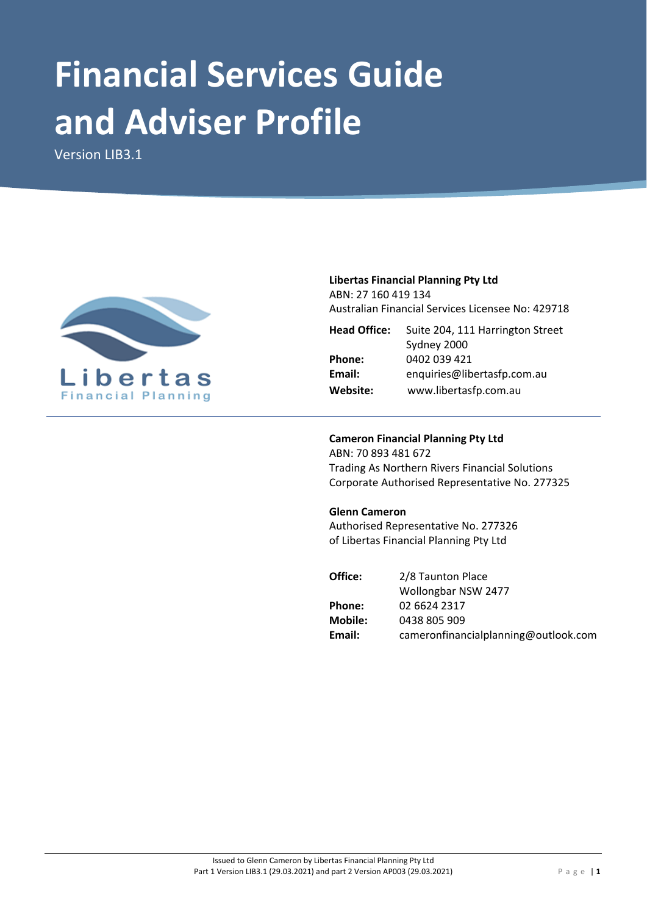# **Financial Services Guide and Adviser Profile**

Version LIB3.1



# **Libertas Financial Planning Pty Ltd** ABN: 27 160 419 134

Australian Financial Services Licensee No: 429718

| <b>Head Office:</b> | Suite 204, 111 Harrington Street |  |  |
|---------------------|----------------------------------|--|--|
|                     | Sydney 2000                      |  |  |
| Phone:              | 0402 039 421                     |  |  |
| Email:              | enquiries@libertasfp.com.au      |  |  |
| Website:            | www.libertasfp.com.au            |  |  |

# **Cameron Financial Planning Pty Ltd**

ABN: 70 893 481 672 Trading As Northern Rivers Financial Solutions Corporate Authorised Representative No. 277325

## **Glenn Cameron**

Authorised Representative No. 277326 of Libertas Financial Planning Pty Ltd

| Office: | 2/8 Taunton Place                    |
|---------|--------------------------------------|
|         | Wollongbar NSW 2477                  |
| Phone:  | 02 6624 2317                         |
| Mobile: | 0438 805 909                         |
| Email:  | cameronfinancialplanning@outlook.com |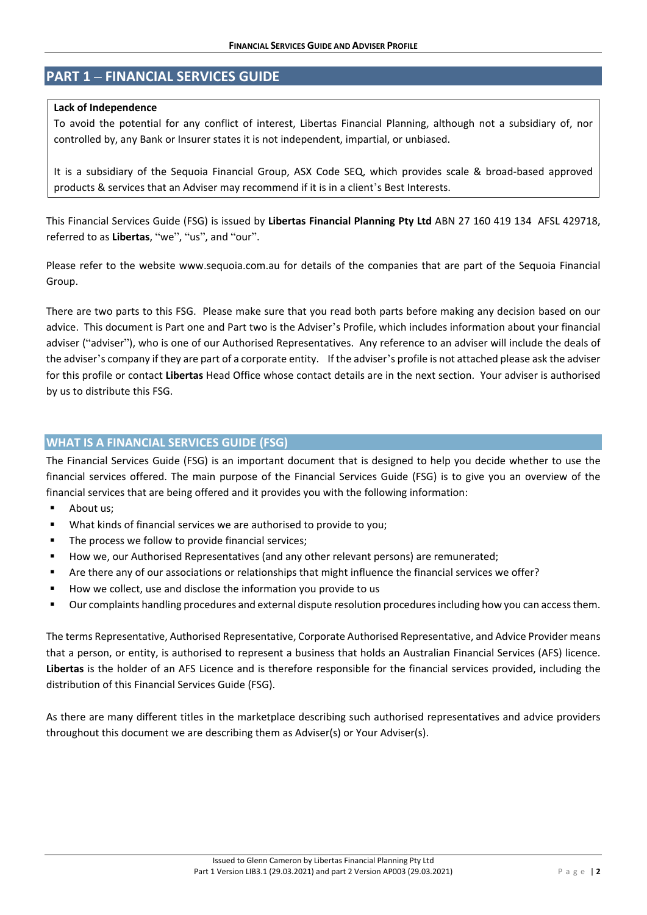# **PART 1 – FINANCIAL SERVICES GUIDE**

#### **Lack of Independence**

To avoid the potential for any conflict of interest, Libertas Financial Planning, although not a subsidiary of, nor controlled by, any Bank or Insurer states it is not independent, impartial, or unbiased.

It is a subsidiary of the Sequoia Financial Group, ASX Code SEQ, which provides scale & broad‐based approved products & services that an Adviser may recommend if it is in a client's Best Interests.

This Financial Services Guide (FSG) is issued by **Libertas Financial Planning Pty Ltd** ABN 27 160 419 134 AFSL 429718, referred to as **Libertas**, "we", "us", and "our".

Please refer to the website www.sequoia.com.au for details of the companies that are part of the Sequoia Financial Group.

There are two parts to this FSG. Please make sure that you read both parts before making any decision based on our advice. This document is Part one and Part two is the Adviser's Profile, which includes information about your financial adviser ("adviser"), who is one of our Authorised Representatives. Any reference to an adviser will include the deals of the adviser's company if they are part of a corporate entity. If the adviser's profile is not attached please ask the adviser for this profile or contact **Libertas** Head Office whose contact details are in the next section. Your adviser is authorised by us to distribute this FSG.

# **WHAT IS A FINANCIAL SERVICES GUIDE (FSG)**

The Financial Services Guide (FSG) is an important document that is designed to help you decide whether to use the financial services offered. The main purpose of the Financial Services Guide (FSG) is to give you an overview of the financial services that are being offered and it provides you with the following information:

- **About us:**
- What kinds of financial services we are authorised to provide to you;
- The process we follow to provide financial services;
- How we, our Authorised Representatives (and any other relevant persons) are remunerated;
- Are there any of our associations or relationships that might influence the financial services we offer?
- How we collect, use and disclose the information you provide to us
- Our complaints handling procedures and external dispute resolution proceduresincluding how you can accessthem.

The terms Representative, Authorised Representative, Corporate Authorised Representative, and Advice Provider means that a person, or entity, is authorised to represent a business that holds an Australian Financial Services (AFS) licence. **Libertas** is the holder of an AFS Licence and is therefore responsible for the financial services provided, including the distribution of this Financial Services Guide (FSG).

As there are many different titles in the marketplace describing such authorised representatives and advice providers throughout this document we are describing them as Adviser(s) or Your Adviser(s).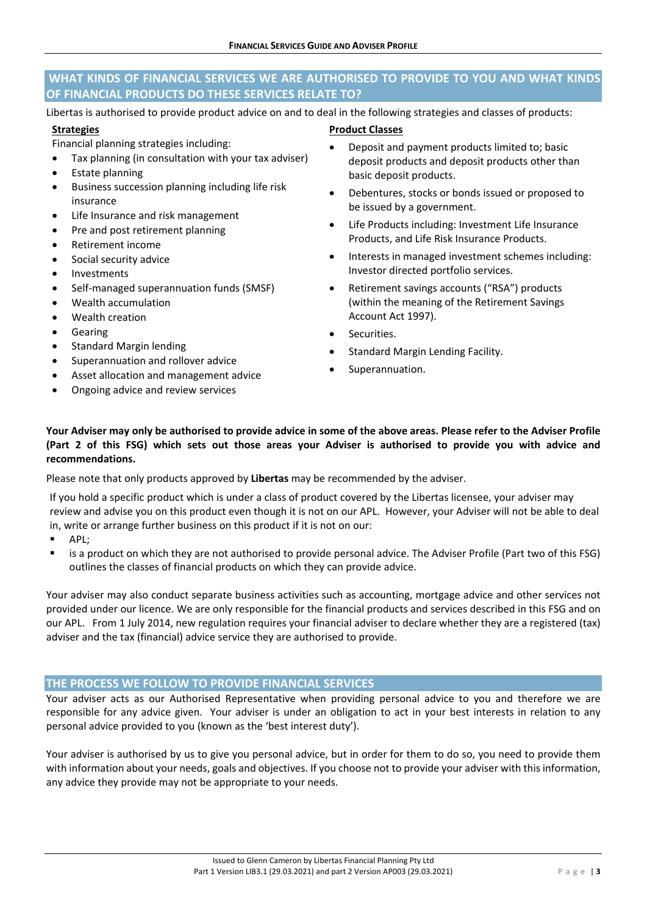# **WHAT KINDS OF FINANCIAL SERVICES WE ARE AUTHORISED TO PROVIDE TO YOU AND WHAT KINDS OF FINANCIAL PRODUCTS DO THESE SERVICES RELATE TO?**

Libertas is authorised to provide product advice on and to deal in the following strategies and classes of products:

#### **Strategies**

Financial planning strategies including:

- Tax planning (in consultation with your tax adviser)
- Estate planning
- Business succession planning including life risk insurance
- Life Insurance and risk management
- Pre and post retirement planning
- Retirement income
- Social security advice
- Investments
- Self‐managed superannuation funds (SMSF)
- Wealth accumulation
- Wealth creation
- Gearing
- Standard Margin lending
- Superannuation and rollover advice
- Asset allocation and management advice
- Ongoing advice and review services
- **Product Classes**
- Deposit and payment products limited to; basic deposit products and deposit products other than basic deposit products.
- Debentures, stocks or bonds issued or proposed to be issued by a government.
- Life Products including: Investment Life Insurance Products, and Life Risk Insurance Products.
- Interests in managed investment schemes including: Investor directed portfolio services.
- Retirement savings accounts ("RSA") products (within the meaning of the Retirement Savings Account Act 1997).
- Securities.
- Standard Margin Lending Facility.
- Superannuation.

# Your Adviser may only be authorised to provide advice in some of the above areas. Please refer to the Adviser Profile (Part 2 of this FSG) which sets out those areas your Adviser is authorised to provide you with advice and **recommendations.**

Please note that only products approved by **Libertas** may be recommended by the adviser.

If you hold a specific product which is under a class of product covered by the Libertas licensee, your adviser may review and advise you on this product even though it is not on our APL. However, your Adviser will not be able to deal in, write or arrange further business on this product if it is not on our:

- **APL:**
- is a product on which they are not authorised to provide personal advice. The Adviser Profile (Part two of this FSG) outlines the classes of financial products on which they can provide advice.

Your adviser may also conduct separate business activities such as accounting, mortgage advice and other services not provided under our licence. We are only responsible for the financial products and services described in this FSG and on our APL. From 1 July 2014, new regulation requires your financial adviser to declare whether they are a registered (tax) adviser and the tax (financial) advice service they are authorised to provide.

# **THE PROCESS WE FOLLOW TO PROVIDE FINANCIAL SERVICES**

Your adviser acts as our Authorised Representative when providing personal advice to you and therefore we are responsible for any advice given. Your adviser is under an obligation to act in your best interests in relation to any personal advice provided to you (known as the 'best interest duty').

Your adviser is authorised by us to give you personal advice, but in order for them to do so, you need to provide them with information about your needs, goals and objectives. If you choose not to provide your adviser with this information, any advice they provide may not be appropriate to your needs.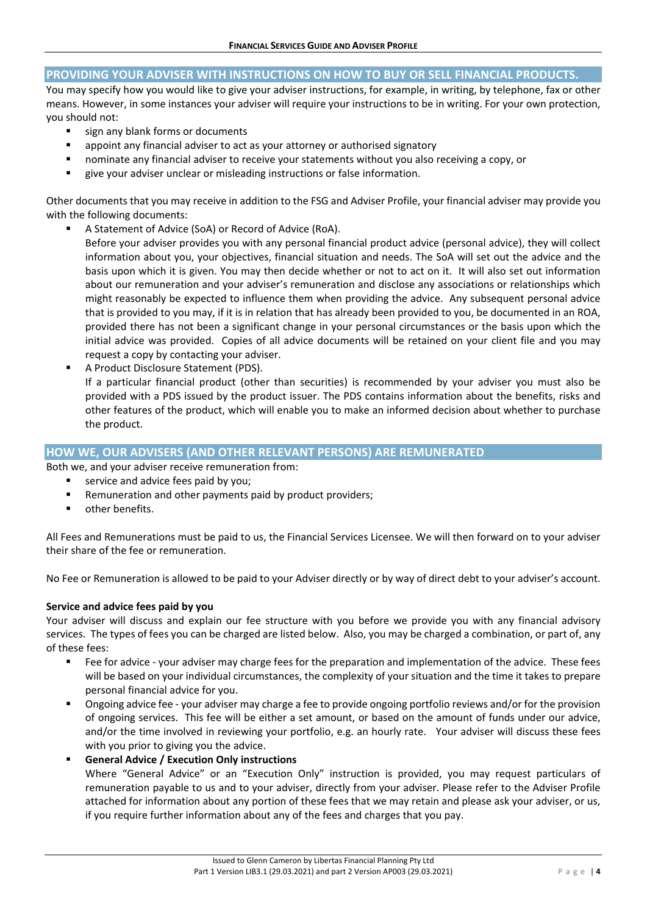## **PROVIDING YOUR ADVISER WITH INSTRUCTIONS ON HOW TO BUY OR SELL FINANCIAL PRODUCTS.**

You may specify how you would like to give your adviser instructions, for example, in writing, by telephone, fax or other means. However, in some instances your adviser will require your instructions to be in writing. For your own protection, you should not:

- sign any blank forms or documents
- appoint any financial adviser to act as your attorney or authorised signatory
- nominate any financial adviser to receive your statements without you also receiving a copy, or
- give your adviser unclear or misleading instructions or false information.

Other documents that you may receive in addition to the FSG and Adviser Profile, your financial adviser may provide you with the following documents:

A Statement of Advice (SoA) or Record of Advice (RoA).

Before your adviser provides you with any personal financial product advice (personal advice), they will collect information about you, your objectives, financial situation and needs. The SoA will set out the advice and the basis upon which it is given. You may then decide whether or not to act on it. It will also set out information about our remuneration and your adviser's remuneration and disclose any associations or relationships which might reasonably be expected to influence them when providing the advice. Any subsequent personal advice that is provided to you may, if it is in relation that has already been provided to you, be documented in an ROA, provided there has not been a significant change in your personal circumstances or the basis upon which the initial advice was provided. Copies of all advice documents will be retained on your client file and you may request a copy by contacting your adviser.

 A Product Disclosure Statement (PDS). If a particular financial product (other than securities) is recommended by your adviser you must also be provided with a PDS issued by the product issuer. The PDS contains information about the benefits, risks and other features of the product, which will enable you to make an informed decision about whether to purchase the product.

# **HOW WE, OUR ADVISERS (AND OTHER RELEVANT PERSONS) ARE REMUNERATED**

Both we, and your adviser receive remuneration from:

- service and advice fees paid by you;
- Remuneration and other payments paid by product providers;
- **•** other benefits.

All Fees and Remunerations must be paid to us, the Financial Services Licensee. We will then forward on to your adviser their share of the fee or remuneration.

No Fee or Remuneration is allowed to be paid to your Adviser directly or by way of direct debt to your adviser's account.

#### **Service and advice fees paid by you**

Your adviser will discuss and explain our fee structure with you before we provide you with any financial advisory services. The types of fees you can be charged are listed below. Also, you may be charged a combination, or part of, any of these fees:

- Fee for advice your adviser may charge fees for the preparation and implementation of the advice. These fees will be based on your individual circumstances, the complexity of your situation and the time it takes to prepare personal financial advice for you.
- Ongoing advice fee your adviser may charge a fee to provide ongoing portfolio reviews and/or for the provision of ongoing services. This fee will be either a set amount, or based on the amount of funds under our advice, and/or the time involved in reviewing your portfolio, e.g. an hourly rate. Your adviser will discuss these fees with you prior to giving you the advice.
- **General Advice / Execution Only instructions**

Where "General Advice" or an "Execution Only" instruction is provided, you may request particulars of remuneration payable to us and to your adviser, directly from your adviser. Please refer to the Adviser Profile attached for information about any portion of these fees that we may retain and please ask your adviser, or us, if you require further information about any of the fees and charges that you pay.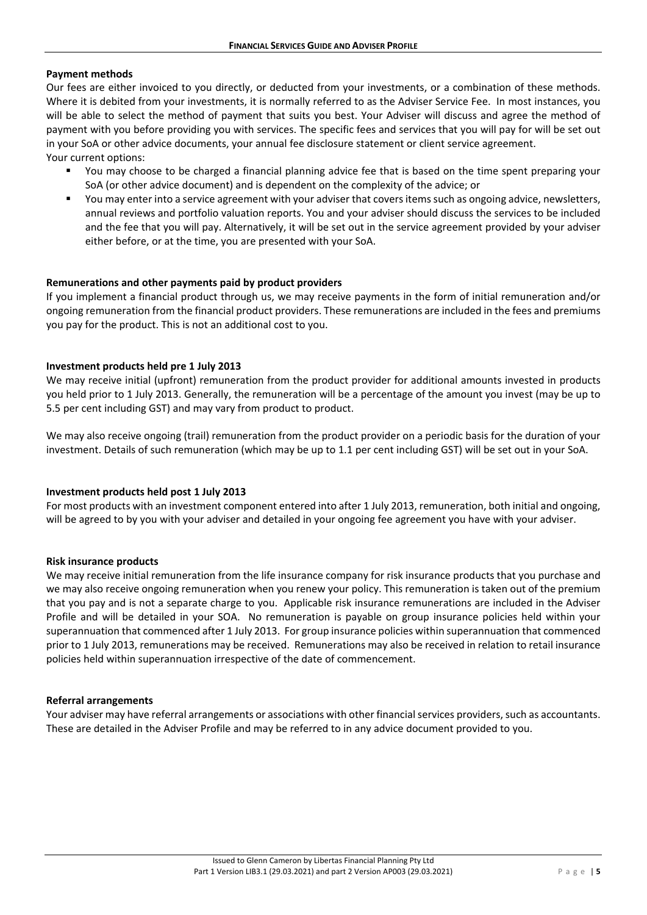#### **Payment methods**

Our fees are either invoiced to you directly, or deducted from your investments, or a combination of these methods. Where it is debited from your investments, it is normally referred to as the Adviser Service Fee. In most instances, you will be able to select the method of payment that suits you best. Your Adviser will discuss and agree the method of payment with you before providing you with services. The specific fees and services that you will pay for will be set out in your SoA or other advice documents, your annual fee disclosure statement or client service agreement. Your current options:

- You may choose to be charged a financial planning advice fee that is based on the time spent preparing your SoA (or other advice document) and is dependent on the complexity of the advice; or
- You may enter into a service agreement with your adviser that covers items such as ongoing advice, newsletters, annual reviews and portfolio valuation reports. You and your adviser should discuss the services to be included and the fee that you will pay. Alternatively, it will be set out in the service agreement provided by your adviser either before, or at the time, you are presented with your SoA.

#### **Remunerations and other payments paid by product providers**

If you implement a financial product through us, we may receive payments in the form of initial remuneration and/or ongoing remuneration from the financial product providers. These remunerations are included in the fees and premiums you pay for the product. This is not an additional cost to you.

#### **Investment products held pre 1 July 2013**

We may receive initial (upfront) remuneration from the product provider for additional amounts invested in products you held prior to 1 July 2013. Generally, the remuneration will be a percentage of the amount you invest (may be up to 5.5 per cent including GST) and may vary from product to product.

We may also receive ongoing (trail) remuneration from the product provider on a periodic basis for the duration of your investment. Details of such remuneration (which may be up to 1.1 per cent including GST) will be set out in your SoA.

#### **Investment products held post 1 July 2013**

For most products with an investment component entered into after 1 July 2013, remuneration, both initial and ongoing, will be agreed to by you with your adviser and detailed in your ongoing fee agreement you have with your adviser.

#### **Risk insurance products**

We may receive initial remuneration from the life insurance company for risk insurance products that you purchase and we may also receive ongoing remuneration when you renew your policy. This remuneration is taken out of the premium that you pay and is not a separate charge to you. Applicable risk insurance remunerations are included in the Adviser Profile and will be detailed in your SOA. No remuneration is payable on group insurance policies held within your superannuation that commenced after 1 July 2013. For group insurance policies within superannuation that commenced prior to 1 July 2013, remunerations may be received. Remunerations may also be received in relation to retail insurance policies held within superannuation irrespective of the date of commencement.

#### **Referral arrangements**

Your adviser may have referral arrangements or associations with other financial services providers, such as accountants. These are detailed in the Adviser Profile and may be referred to in any advice document provided to you.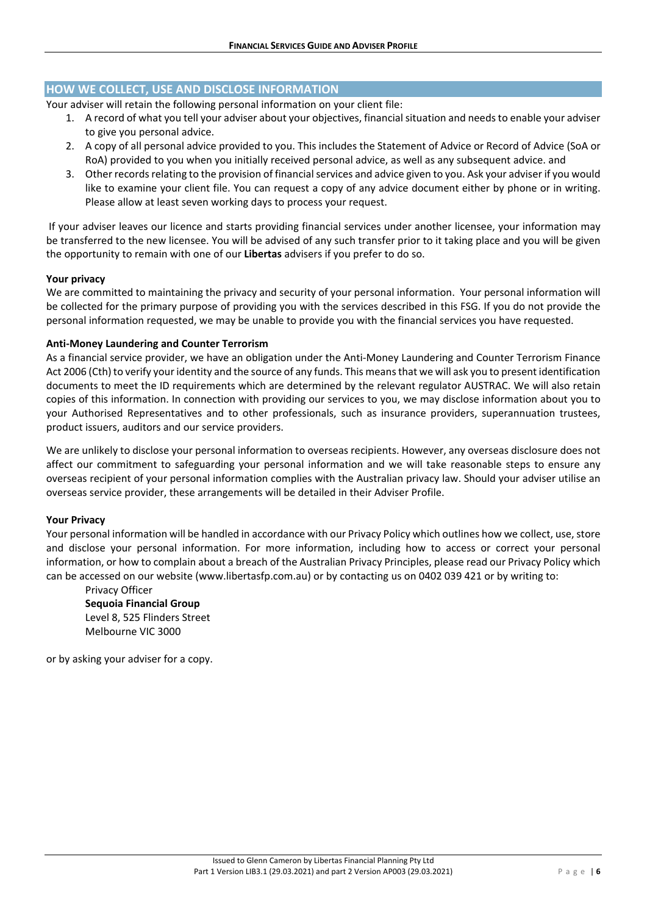# **HOW WE COLLECT, USE AND DISCLOSE INFORMATION**

Your adviser will retain the following personal information on your client file:

- 1. A record of what you tell your adviser about your objectives, financial situation and needsto enable your adviser to give you personal advice.
- 2. A copy of all personal advice provided to you. This includes the Statement of Advice or Record of Advice (SoA or RoA) provided to you when you initially received personal advice, as well as any subsequent advice. and
- 3. Other records relating to the provision of financial services and advice given to you. Ask your adviser if you would like to examine your client file. You can request a copy of any advice document either by phone or in writing. Please allow at least seven working days to process your request.

If your adviser leaves our licence and starts providing financial services under another licensee, your information may be transferred to the new licensee. You will be advised of any such transfer prior to it taking place and you will be given the opportunity to remain with one of our **Libertas** advisers if you prefer to do so.

#### **Your privacy**

We are committed to maintaining the privacy and security of your personal information. Your personal information will be collected for the primary purpose of providing you with the services described in this FSG. If you do not provide the personal information requested, we may be unable to provide you with the financial services you have requested.

#### **Anti‐Money Laundering and Counter Terrorism**

As a financial service provider, we have an obligation under the Anti‐Money Laundering and Counter Terrorism Finance Act 2006 (Cth) to verify your identity and the source of any funds. This meansthat we will ask you to present identification documents to meet the ID requirements which are determined by the relevant regulator AUSTRAC. We will also retain copies of this information. In connection with providing our services to you, we may disclose information about you to your Authorised Representatives and to other professionals, such as insurance providers, superannuation trustees, product issuers, auditors and our service providers.

We are unlikely to disclose your personal information to overseas recipients. However, any overseas disclosure does not affect our commitment to safeguarding your personal information and we will take reasonable steps to ensure any overseas recipient of your personal information complies with the Australian privacy law. Should your adviser utilise an overseas service provider, these arrangements will be detailed in their Adviser Profile.

#### **Your Privacy**

Your personal information will be handled in accordance with our Privacy Policy which outlines how we collect, use,store and disclose your personal information. For more information, including how to access or correct your personal information, or how to complain about a breach of the Australian Privacy Principles, please read our Privacy Policy which can be accessed on our website (www.libertasfp.com.au) or by contacting us on 0402 039 421 or by writing to:

Privacy Officer **Sequoia Financial Group** Level 8, 525 Flinders Street Melbourne VIC 3000

or by asking your adviser for a copy.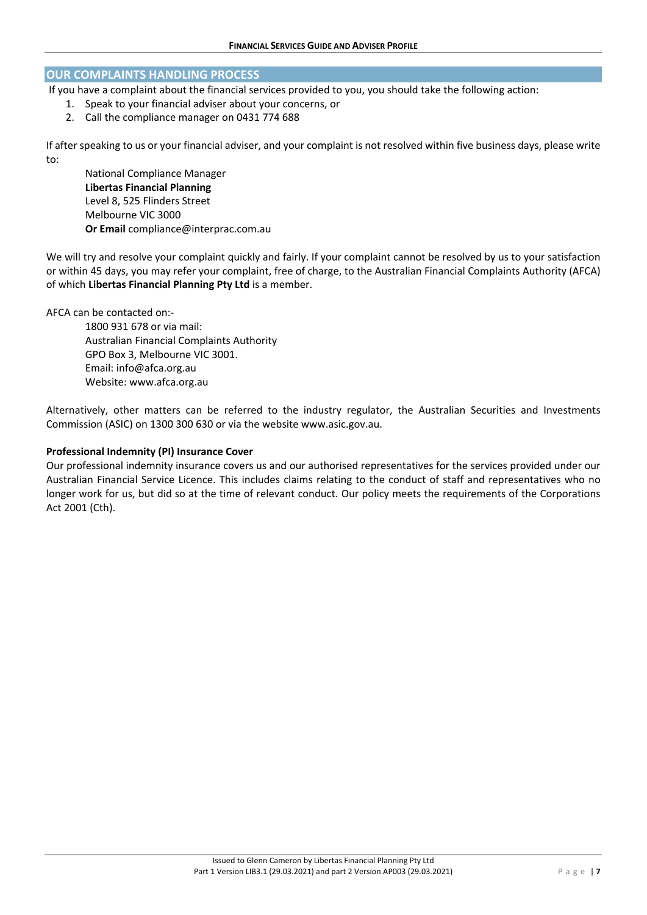#### **OUR COMPLAINTS HANDLING PROCESS**

If you have a complaint about the financial services provided to you, you should take the following action:

- 1. Speak to your financial adviser about your concerns, or
- 2. Call the compliance manager on 0431 774 688

If after speaking to us or your financial adviser, and your complaint is not resolved within five business days, please write to:

National Compliance Manager **Libertas Financial Planning** Level 8, 525 Flinders Street Melbourne VIC 3000 **Or Email** compliance@interprac.com.au

We will try and resolve your complaint quickly and fairly. If your complaint cannot be resolved by us to your satisfaction or within 45 days, you may refer your complaint, free of charge, to the Australian Financial Complaints Authority (AFCA) of which **Libertas Financial Planning Pty Ltd** is a member.

AFCA can be contacted on:‐

1800 931 678 or via mail: Australian Financial Complaints Authority GPO Box 3, Melbourne VIC 3001. Email: info@afca.org.au Website: www.afca.org.au

Alternatively, other matters can be referred to the industry regulator, the Australian Securities and Investments Commission (ASIC) on 1300 300 630 or via the website www.asic.gov.au.

#### **Professional Indemnity (PI) Insurance Cover**

Our professional indemnity insurance covers us and our authorised representatives for the services provided under our Australian Financial Service Licence. This includes claims relating to the conduct of staff and representatives who no longer work for us, but did so at the time of relevant conduct. Our policy meets the requirements of the Corporations Act 2001 (Cth).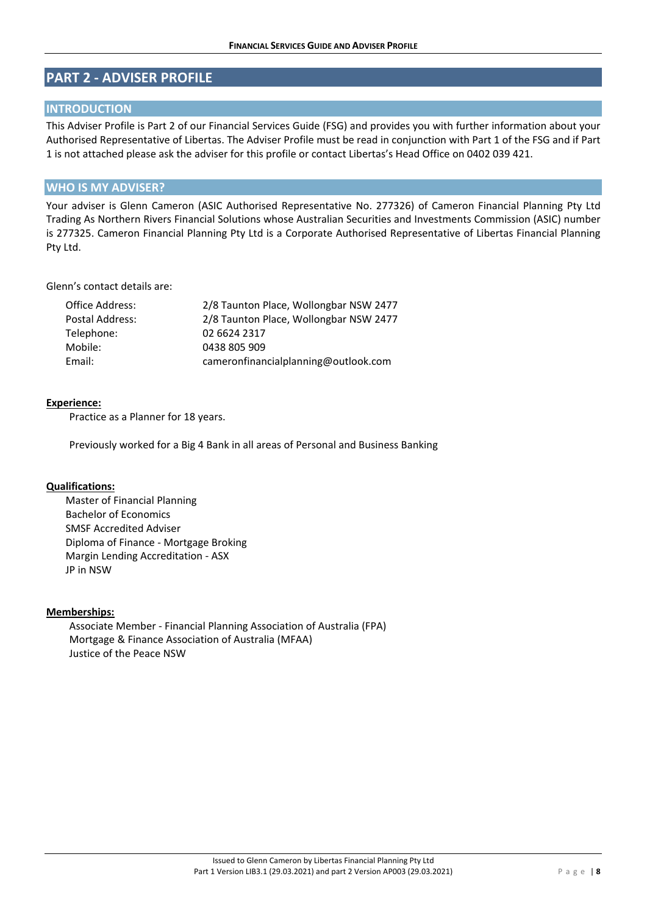# **PART 2 ‐ ADVISER PROFILE**

# **INTRODUCTION**

This Adviser Profile is Part 2 of our Financial Services Guide (FSG) and provides you with further information about your Authorised Representative of Libertas. The Adviser Profile must be read in conjunction with Part 1 of the FSG and if Part 1 is not attached please ask the adviser for this profile or contact Libertas's Head Office on 0402 039 421.

# **WHO IS MY ADVISER?**

Your adviser is Glenn Cameron (ASIC Authorised Representative No. 277326) of Cameron Financial Planning Pty Ltd Trading As Northern Rivers Financial Solutions whose Australian Securities and Investments Commission (ASIC) number is 277325. Cameron Financial Planning Pty Ltd is a Corporate Authorised Representative of Libertas Financial Planning Pty Ltd.

#### Glenn's contact details are:

| Office Address: | 2/8 Taunton Place, Wollongbar NSW 2477 |
|-----------------|----------------------------------------|
| Postal Address: | 2/8 Taunton Place, Wollongbar NSW 2477 |
| Telephone:      | 02 6624 2317                           |
| Mobile:         | 0438 805 909                           |
| Email:          | cameronfinancialplanning@outlook.com   |

#### **Experience:**

Practice as a Planner for 18 years.

Previously worked for a Big 4 Bank in all areas of Personal and Business Banking

## **Qualifications:**

Master of Financial Planning Bachelor of Economics SMSF Accredited Adviser Diploma of Finance ‐ Mortgage Broking Margin Lending Accreditation ‐ ASX JP in NSW

## **Memberships:**

Associate Member ‐ Financial Planning Association of Australia (FPA) Mortgage & Finance Association of Australia (MFAA) Justice of the Peace NSW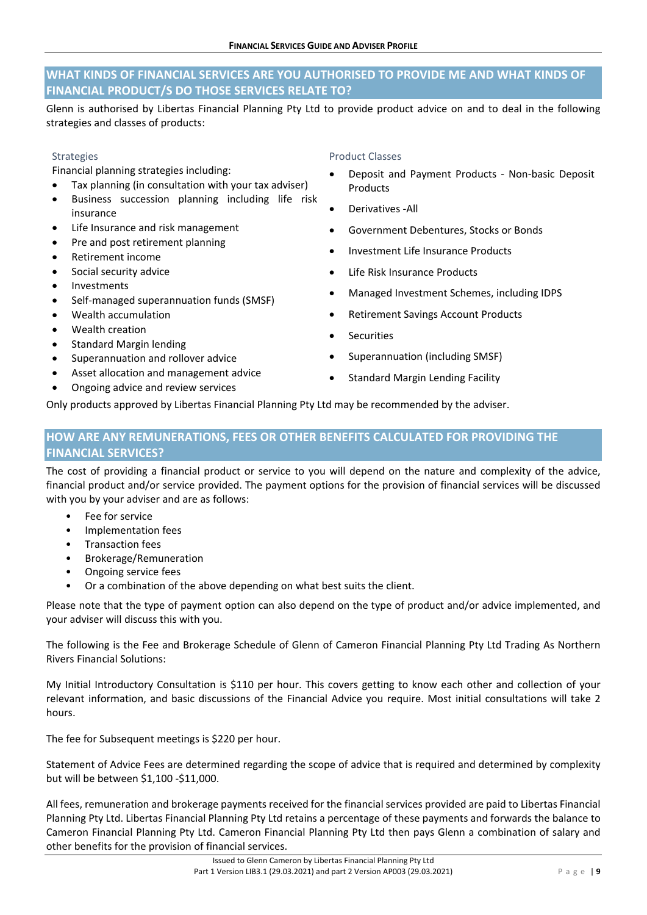# **WHAT KINDS OF FINANCIAL SERVICES ARE YOU AUTHORISED TO PROVIDE ME AND WHAT KINDS OF FINANCIAL PRODUCT/S DO THOSE SERVICES RELATE TO?**

Glenn is authorised by Libertas Financial Planning Pty Ltd to provide product advice on and to deal in the following strategies and classes of products:

#### Strategies

Financial planning strategies including:

- Tax planning (in consultation with your tax adviser)
- Business succession planning including life risk insurance
- Life Insurance and risk management
- Pre and post retirement planning
- Retirement income
- Social security advice
- Investments
- Self‐managed superannuation funds (SMSF)
- Wealth accumulation
- Wealth creation
- Standard Margin lending
- Superannuation and rollover advice
- Asset allocation and management advice
- Ongoing advice and review services

#### Product Classes

- Deposit and Payment Products ‐ Non‐basic Deposit **Products**
- Derivatives ‐All
- Government Debentures, Stocks or Bonds
- Investment Life Insurance Products
- Life Risk Insurance Products
- Managed Investment Schemes, including IDPS
- Retirement Savings Account Products
- **Securities**
- Superannuation (including SMSF)
- Standard Margin Lending Facility

Only products approved by Libertas Financial Planning Pty Ltd may be recommended by the adviser.

# **HOW ARE ANY REMUNERATIONS, FEES OR OTHER BENEFITS CALCULATED FOR PROVIDING THE FINANCIAL SERVICES?**

The cost of providing a financial product or service to you will depend on the nature and complexity of the advice, financial product and/or service provided. The payment options for the provision of financial services will be discussed with you by your adviser and are as follows:

- Fee for service
- Implementation fees
- Transaction fees
- Brokerage/Remuneration
- Ongoing service fees
- Or a combination of the above depending on what best suits the client.

Please note that the type of payment option can also depend on the type of product and/or advice implemented, and your adviser will discuss this with you.

The following is the Fee and Brokerage Schedule of Glenn of Cameron Financial Planning Pty Ltd Trading As Northern Rivers Financial Solutions:

My Initial Introductory Consultation is \$110 per hour. This covers getting to know each other and collection of your relevant information, and basic discussions of the Financial Advice you require. Most initial consultations will take 2 hours.

The fee for Subsequent meetings is \$220 per hour.

Statement of Advice Fees are determined regarding the scope of advice that is required and determined by complexity but will be between \$1,100 ‐\$11,000.

All fees, remuneration and brokerage payments received for the financial services provided are paid to Libertas Financial Planning Pty Ltd. Libertas Financial Planning Pty Ltd retains a percentage of these payments and forwards the balance to Cameron Financial Planning Pty Ltd. Cameron Financial Planning Pty Ltd then pays Glenn a combination of salary and other benefits for the provision of financial services.